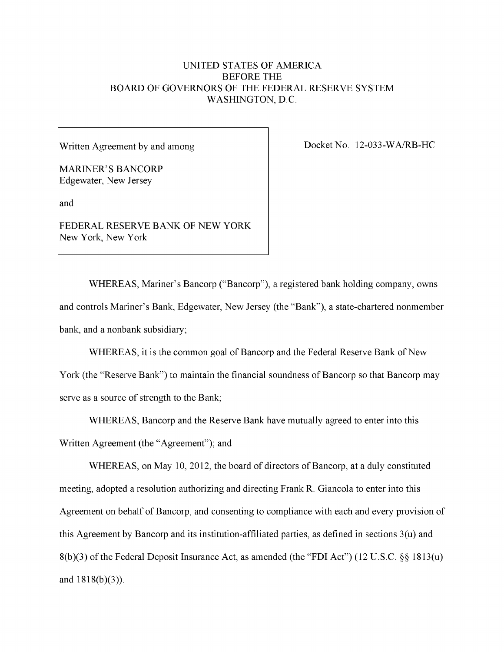# UNITED STATES OF AMERICA BEFORE THE BOARD OF GOVERNORS OF THE FEDERAL RESERVE SYSTEM WASHINGTON, D.C.

Written Agreement by and among

MARINER'S BANCORP Edgewater, New Jersey

and

FEDERAL RESERVE BANK OF NEW YORK New York, New York

Docket No. 12-033-WA/RB-HC

WHEREAS, Mariner's Bancorp ("Bancorp"), a registered bank holding company, owns and controls Mariner's Bank, Edgewater, New Jersey (the "Bank"), a state-chartered nonmember bank, and a nonbank subsidiary;

WHEREAS, it is the common goal of Bancorp and the Federal Reserve Bank of New York (the "Reserve Bank") to maintain the financial soundness of Bancorp so that Bancorp may serve as a source of strength to the Bank;

WHEREAS, Bancorp and the Reserve Bank have mutually agreed to enter into this Written Agreement (the "Agreement"); and

WHEREAS, on May 10, 2012, the board of directors of Bancorp, at a duly constituted meeting, adopted a resolution authorizing and directing Frank R. Giancola to enter into this Agreement on behalf of Bancorp, and consenting to compliance with each and every provision of this Agreement by Bancorp and its institution-affiliated parties, as defined in sections 3(u) and 8(b)(3) of the Federal Deposit Insurance Act, as amended (the "FDI Act") (12 U.S.C. §§ 1813(u) and  $1818(b)(3)$ ).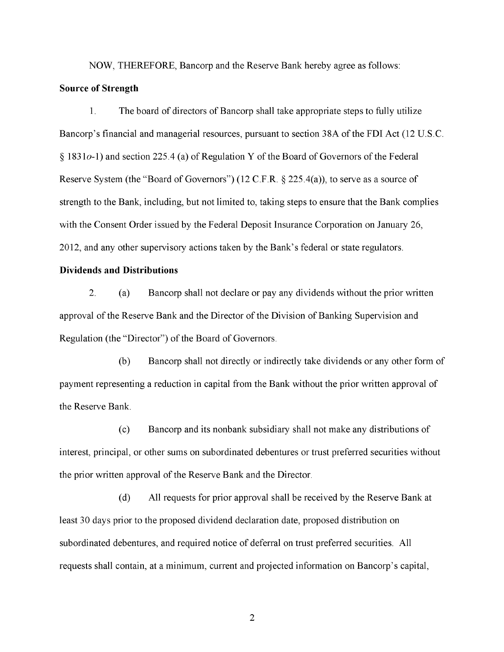NOW, THEREFORE, Bancorp and the Reserve Bank hereby agree as follows:

### **Source of Strength**

1. The board of directors of Bancorp shall take appropriate steps to fully utilize Bancorp's financial and managerial resources, pursuant to section 38A of the FDI Act (12 U.S.C. § 1831o-1) and section 225.4 (a) of Regulation Y of the Board of Governors of the Federal Reserve System (the "Board of Governors") (12 C.F.R. § 225.4(a)), to serve as a source of strength to the Bank, including, but not limited to, taking steps to ensure that the Bank complies with the Consent Order issued by the Federal Deposit Insurance Corporation on January 26, 2012, and any other supervisory actions taken by the Bank's federal or state regulators.

#### **Dividends and Distributions**

2. (a) Bancorp shall not declare or pay any dividends without the prior written approval of the Reserve Bank and the Director of the Division of Banking Supervision and Regulation (the "Director") of the Board of Governors.

(b) Bancorp shall not directly or indirectly take dividends or any other form of payment representing a reduction in capital from the Bank without the prior written approval of the Reserve Bank.

(c) Bancorp and its nonbank subsidiary shall not make any distributions of interest, principal, or other sums on subordinated debentures or trust preferred securities without the prior written approval of the Reserve Bank and the Director.

(d) All requests for prior approval shall be received by the Reserve Bank at least 30 days prior to the proposed dividend declaration date, proposed distribution on subordinated debentures, and required notice of deferral on trust preferred securities. All requests shall contain, at a minimum, current and projected information on Bancorp's capital,

 $\overline{2}$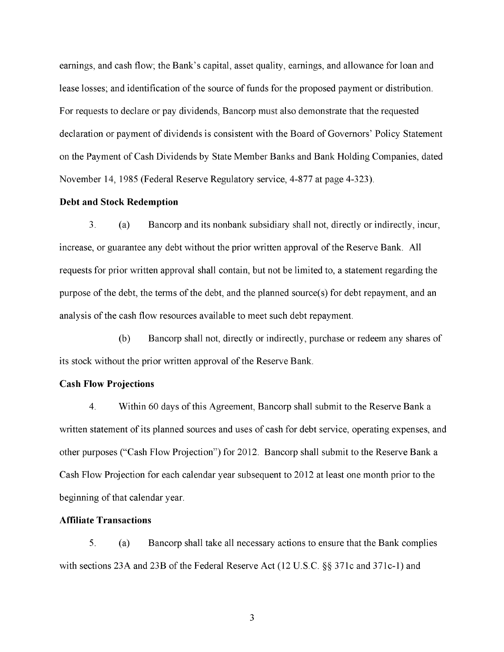earnings, and cash flow; the Bank's capital, asset quality, earnings, and allowance for loan and lease losses; and identification of the source of funds for the proposed payment or distribution. For requests to declare or pay dividends, Bancorp must also demonstrate that the requested declaration or payment of dividends is consistent with the Board of Governors' Policy Statement on the Payment of Cash Dividends by State Member Banks and Bank Holding Companies, dated November 14, 1985 (Federal Reserve Regulatory service, 4-877 at page 4-323).

## **Debt and Stock Redemption**

3. (a) Bancorp and its nonbank subsidiary shall not, directly or indirectly, incur, increase, or guarantee any debt without the prior written approval of the Reserve Bank. All requests for prior written approval shall contain, but not be limited to, a statement regarding the purpose of the debt, the terms of the debt, and the planned source(s) for debt repayment, and an analysis of the cash flow resources available to meet such debt repayment.

(b) Bancorp shall not, directly or indirectly, purchase or redeem any shares of its stock without the prior written approval of the Reserve Bank.

#### **Cash Flow Projections**

4. Within 60 days of this Agreement, Bancorp shall submit to the Reserve Bank a written statement of its planned sources and uses of cash for debt service, operating expenses, and other purposes ("Cash Flow Projection") for 2012. Bancorp shall submit to the Reserve Bank a Cash Flow Projection for each calendar year subsequent to 2012 at least one month prior to the beginning of that calendar year.

### **Affiliate Transactions**

5. (a) Bancorp shall take all necessary actions to ensure that the Bank complies with sections 23A and 23B of the Federal Reserve Act (12 U.S.C.  $\S$ § 371c and 371c-1) and

 $\overline{3}$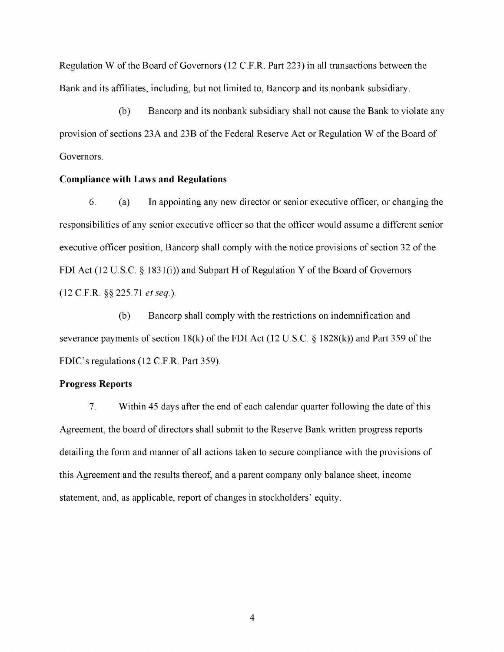Regulation W of the Board of Governors (12 C.F.R. Part 223) in all transactions between the Bank and its affiliates, including, but not limited to, Bancorp and its nonbank subsidiary.

(b) Bancorp and its nonbank subsidiary shall not cause the Bank to violate any provision of sections 23A and 23B of the Federal Reserve Act or Regulation W of the Board of Governors.

#### **Compliance with Laws and Regulations**

6. (a) In appointing any new director or senior executive officer, or changing the responsibilities of any senior executive officer so that the officer would assume a different senior executive officer position, Bancorp shall comply with the notice provisions of section 32 of the FDI Act (12 U.S.C. § 1831(i)) and Subpart H of Regulation Y of the Board of Governors (12 C.F.R. §§ 225.71 *et seq).* 

(b) Bancorp shall comply with the restrictions on indemnification and severance payments of section 18(k) of the FDI Act (12 U.S.C. § 1828(k)) and Part 359 of the FDIC's regulations (12 C.F.R. Part 359).

#### **Progress Reports**

7. Within 45 days after the end of each calendar quarter following the date of this Agreement, the board of directors shall submit to the Reserve Bank written progress reports detailing the form and manner of all actions taken to secure compliance with the provisions of this Agreement and the results thereof, and a parent company only balance sheet, income statement, and, as applicable, report of changes in stockholders' equity.

 $\overline{4}$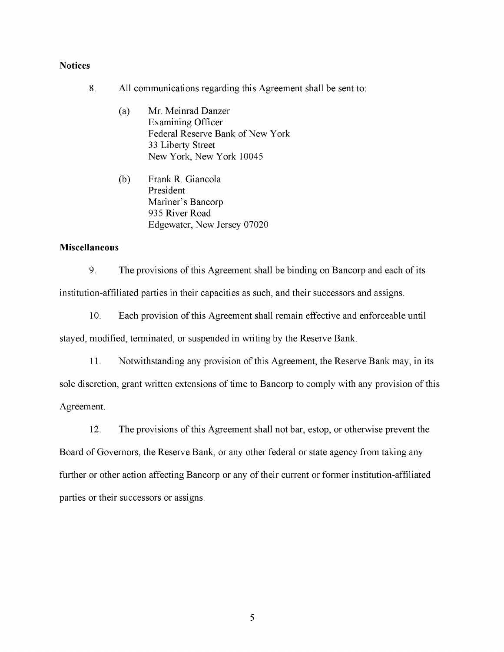## **Notices**

- 8. All communications regarding this Agreement shall be sent to:
	- (a) Mr. Meinrad Danzer Examining Officer Federal Reserve Bank of New York 33 Liberty Street New York, New York 10045
	- (b) Frank R. Giancola President Mariner's Bancorp 935 River Road Edgewater, New Jersey 07020 Edgewater, New Jersey 07020

# **Miscellaneous**

 $\overline{9}$ The provisions of this Agreement shall be binding on Bancorp and each of its 9. The provisions of this Agreement shall be binding on Bancorp and each of its institution-affiliated parties in their capacities as such, and their successors and assigns. institution-affiliated parties in their capacities as such, and their successors and assigns.

 $10<sub>1</sub>$ Each provision of this Agreement shall remain effective and enforceable until 10. Each provision of this Agreement shall remain effective and enforceable until stayed, modified, terminated, or suspended in writing by the Reserve Bank. stayed, modified, terminated, or suspended in writing by the Reserve Bank.

11. Notwithstanding any provision of this Agreement, the Reserve Bank may, in its 11. Notwithstanding any provision of this Agreement, the Reserve Bank may, in its sole discretion, grant written extensions of time to Bancorp to comply with any provision of this sole discretion, grant written extensions of time to Bancorp to comply with any provision of this Agreement. Agreement.

12. The provisions of this Agreement shall not bar, estop, or otherwise prevent the 12. The provisions of this Agreement shall not bar, estop, or otherwise prevent the Board of Governors, the Reserve Bank, or any other federal or state agency from taking any Board of Governors, the Reserve Bank, or any other federal or state agency from taking any further or other action affecting Bancorp or any of their current or former institution-affiliated further or other action affecting Bancorp or any of their current or former institution-affiliated parties or their successors or assigns. parties or their successors or assigns. [page break]